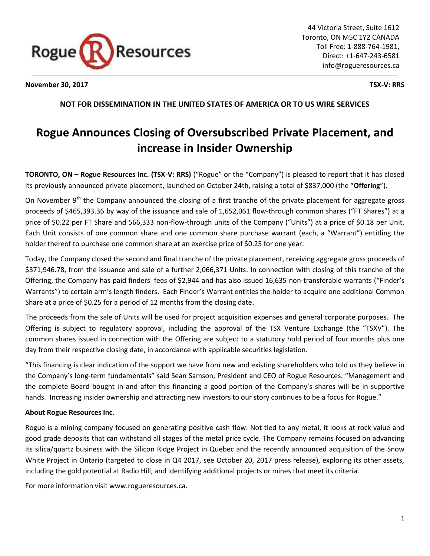

**November 30, 2017 TSX-V: RRS**

**NOT FOR DISSEMINATION IN THE UNITED STATES OF AMERICA OR TO US WIRE SERVICES**

## **Rogue Announces Closing of Oversubscribed Private Placement, and increase in Insider Ownership**

**TORONTO, ON – Rogue Resources Inc. (TSX-V: RRS)** ("Rogue" or the "Company") is pleased to report that it has closed its previously announced private placement, launched on October 24th, raising a total of \$837,000 (the "**Offering**").

On November 9<sup>th</sup> the Company announced the closing of a first tranche of the private placement for aggregate gross proceeds of \$465,393.36 by way of the issuance and sale of 1,652,061 flow-through common shares ("FT Shares") at a price of \$0.22 per FT Share and 566,333 non-flow-through units of the Company ("Units") at a price of \$0.18 per Unit. Each Unit consists of one common share and one common share purchase warrant (each, a "Warrant") entitling the holder thereof to purchase one common share at an exercise price of \$0.25 for one year.

Today, the Company closed the second and final tranche of the private placement, receiving aggregate gross proceeds of \$371,946.78, from the issuance and sale of a further 2,066,371 Units. In connection with closing of this tranche of the Offering, the Company has paid finders' fees of \$2,944 and has also issued 16,635 non-transferable warrants ("Finder's Warrants") to certain arm's length finders. Each Finder's Warrant entitles the holder to acquire one additional Common Share at a price of \$0.25 for a period of 12 months from the closing date.

The proceeds from the sale of Units will be used for project acquisition expenses and general corporate purposes. The Offering is subject to regulatory approval, including the approval of the TSX Venture Exchange (the "TSXV"). The common shares issued in connection with the Offering are subject to a statutory hold period of four months plus one day from their respective closing date, in accordance with applicable securities legislation.

"This financing is clear indication of the support we have from new and existing shareholders who told us they believe in the Company's long-term fundamentals" said Sean Samson, President and CEO of Rogue Resources. "Management and the complete Board bought in and after this financing a good portion of the Company's shares will be in supportive hands. Increasing insider ownership and attracting new investors to our story continues to be a focus for Rogue."

## **About Rogue Resources Inc.**

Rogue is a mining company focused on generating positive cash flow. Not tied to any metal, it looks at rock value and good grade deposits that can withstand all stages of the metal price cycle. The Company remains focused on advancing its silica/quartz business with the Silicon Ridge Project in Quebec and the recently announced acquisition of the Snow White Project in Ontario (targeted to close in Q4 2017, see October 20, 2017 press release), exploring its other assets, including the gold potential at Radio Hill, and identifying additional projects or mines that meet its criteria.

For more information visit www.rogueresources.ca.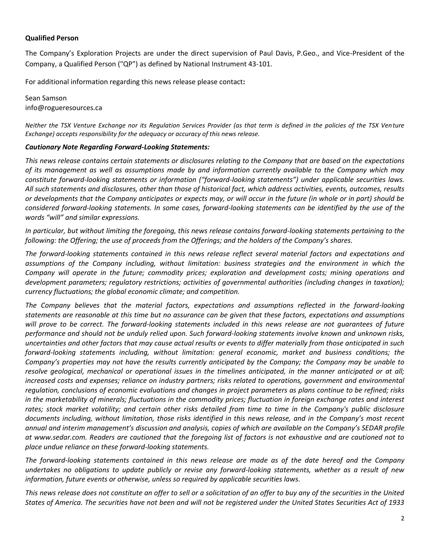## **Qualified Person**

The Company's Exploration Projects are under the direct supervision of Paul Davis, P.Geo., and Vice-President of the Company, a Qualified Person ("QP") as defined by National Instrument 43-101.

For additional information regarding this news release please contact**:**

Sean Samson info@rogueresources.ca

*Neither the TSX Venture Exchange nor its Regulation Services Provider (as that term is defined in the policies of the TSX Venture Exchange) accepts responsibility for the adequacy or accuracy of this news release.*

## *Cautionary Note Regarding Forward-Looking Statements:*

*This news release contains certain statements or disclosures relating to the Company that are based on the expectations of its management as well as assumptions made by and information currently available to the Company which may constitute forward-looking statements or information ("forward-looking statements") under applicable securities laws. All such statements and disclosures, other than those of historical fact, which address activities, events, outcomes, results or developments that the Company anticipates or expects may, or will occur in the future (in whole or in part) should be considered forward-looking statements. In some cases, forward-looking statements can be identified by the use of the words "will" and similar expressions.*

*In particular, but without limiting the foregoing, this news release contains forward-looking statements pertaining to the following: the Offering; the use of proceeds from the Offerings; and the holders of the Company's shares.*

*The forward-looking statements contained in this news release reflect several material factors and expectations and assumptions of the Company including, without limitation: business strategies and the environment in which the Company will operate in the future; commodity prices; exploration and development costs; mining operations and development parameters; regulatory restrictions; activities of governmental authorities (including changes in taxation); currency fluctuations; the global economic climate; and competition.*

*The Company believes that the material factors, expectations and assumptions reflected in the forward-looking statements are reasonable at this time but no assurance can be given that these factors, expectations and assumptions will prove to be correct. The forward-looking statements included in this news release are not guarantees of future performance and should not be unduly relied upon. Such forward-looking statements involve known and unknown risks, uncertainties and other factors that may cause actual results or events to differ materially from those anticipated in such forward-looking statements including, without limitation: general economic, market and business conditions; the Company's properties may not have the results currently anticipated by the Company; the Company may be unable to resolve geological, mechanical or operational issues in the timelines anticipated, in the manner anticipated or at all; increased costs and expenses; reliance on industry partners; risks related to operations, government and environmental regulation, conclusions of economic evaluations and changes in project parameters as plans continue to be refined; risks in the marketability of minerals; fluctuations in the commodity prices; fluctuation in foreign exchange rates and interest rates; stock market volatility; and certain other risks detailed from time to time in the Company's public disclosure documents including, without limitation, those risks identified in this news release, and in the Company's most recent annual and interim management's discussion and analysis, copies of which are available on the Company's SEDAR profile at www.sedar.com. Readers are cautioned that the foregoing list of factors is not exhaustive and are cautioned not to place undue reliance on these forward-looking statements.*

*The forward-looking statements contained in this news release are made as of the date hereof and the Company undertakes no obligations to update publicly or revise any forward-looking statements, whether as a result of new information, future events or otherwise, unless so required by applicable securities laws.*

*This news release does not constitute an offer to sell or a solicitation of an offer to buy any of the securities in the United States of America. The securities have not been and will not be registered under the United States Securities Act of 1933*